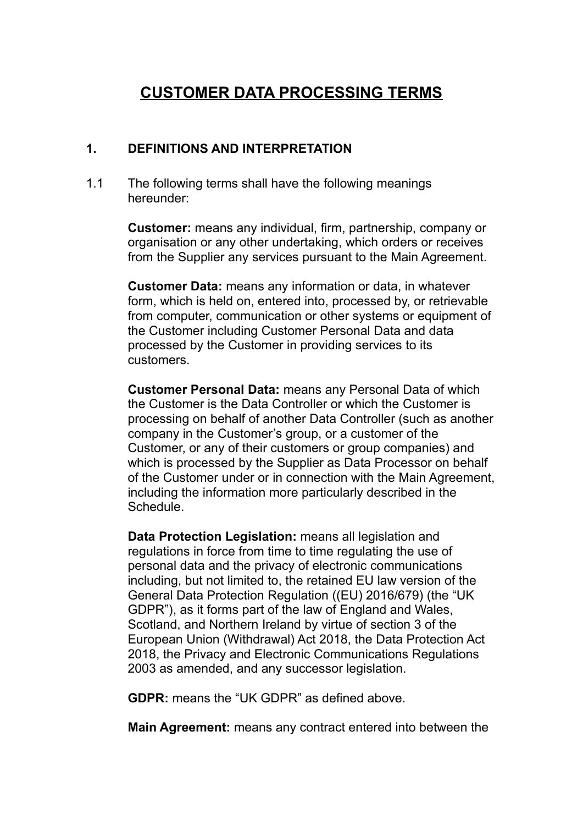# **CUSTOMER DATA PROCESSING TERMS**

#### **1. DEFINITIONS AND INTERPRETATION**

1.1 The following terms shall have the following meanings hereunder:

> **Customer:** means any individual, firm, partnership, company or organisation or any other undertaking, which orders or receives from the Supplier any services pursuant to the Main Agreement.

**Customer Data:** means any information or data, in whatever form, which is held on, entered into, processed by, or retrievable from computer, communication or other systems or equipment of the Customer including Customer Personal Data and data processed by the Customer in providing services to its customers.

**Customer Personal Data:** means any Personal Data of which the Customer is the Data Controller or which the Customer is processing on behalf of another Data Controller (such as another company in the Customer's group, or a customer of the Customer, or any of their customers or group companies) and which is processed by the Supplier as Data Processor on behalf of the Customer under or in connection with the Main Agreement, including the information more particularly described in the Schedule.

**Data Protection Legislation:** means all legislation and regulations in force from time to time regulating the use of personal data and the privacy of electronic communications including, but not limited to, the retained EU law version of the General Data Protection Regulation ((EU) 2016/679) (the "UK GDPR"), as it forms part of the law of England and Wales, Scotland, and Northern Ireland by virtue of section 3 of the European Union (Withdrawal) Act 2018, the Data Protection Act 2018, the Privacy and Electronic Communications Regulations 2003 as amended, and any successor legislation.

**GDPR:** means the "UK GDPR" as defined above.

**Main Agreement:** means any contract entered into between the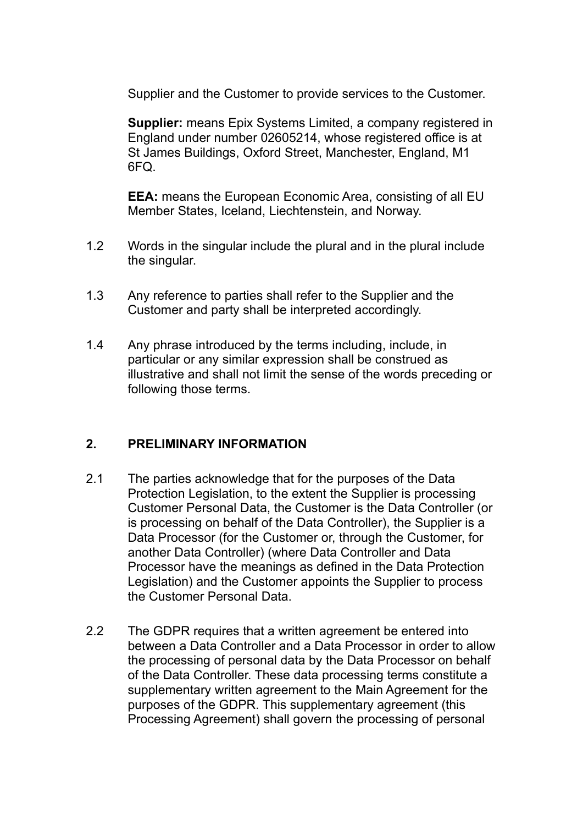Supplier and the Customer to provide services to the Customer.

**Supplier:** means Epix Systems Limited, a company registered in England under number 02605214, whose registered office is at St James Buildings, Oxford Street, Manchester, England, M1 6FQ.

**EEA:** means the European Economic Area, consisting of all EU Member States, Iceland, Liechtenstein, and Norway.

- 1.2 Words in the singular include the plural and in the plural include the singular.
- 1.3 Any reference to parties shall refer to the Supplier and the Customer and party shall be interpreted accordingly.
- 1.4 Any phrase introduced by the terms including, include, in particular or any similar expression shall be construed as illustrative and shall not limit the sense of the words preceding or following those terms.

## **2. PRELIMINARY INFORMATION**

- 2.1 The parties acknowledge that for the purposes of the Data Protection Legislation, to the extent the Supplier is processing Customer Personal Data, the Customer is the Data Controller (or is processing on behalf of the Data Controller), the Supplier is a Data Processor (for the Customer or, through the Customer, for another Data Controller) (where Data Controller and Data Processor have the meanings as defined in the Data Protection Legislation) and the Customer appoints the Supplier to process the Customer Personal Data.
- 2.2 The GDPR requires that a written agreement be entered into between a Data Controller and a Data Processor in order to allow the processing of personal data by the Data Processor on behalf of the Data Controller. These data processing terms constitute a supplementary written agreement to the Main Agreement for the purposes of the GDPR. This supplementary agreement (this Processing Agreement) shall govern the processing of personal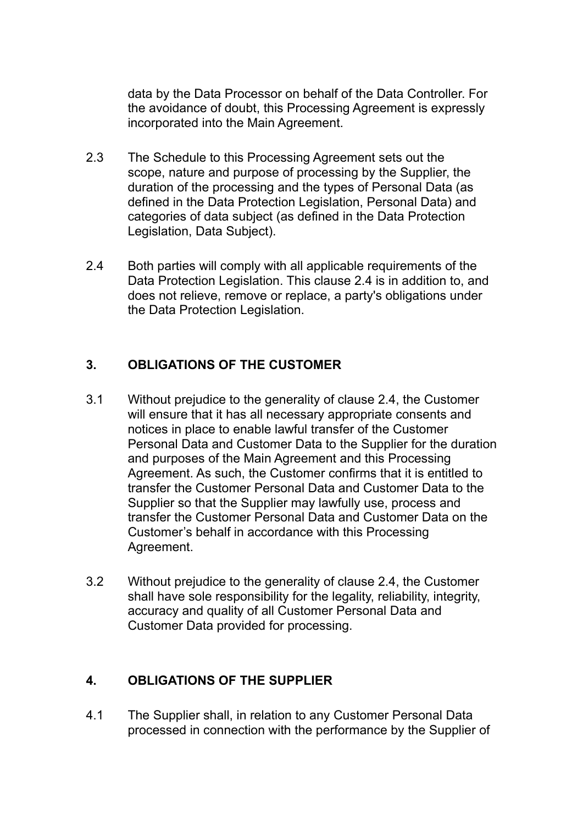data by the Data Processor on behalf of the Data Controller. For the avoidance of doubt, this Processing Agreement is expressly incorporated into the Main Agreement.

- 2.3 The Schedule to this Processing Agreement sets out the scope, nature and purpose of processing by the Supplier, the duration of the processing and the types of Personal Data (as defined in the Data Protection Legislation, Personal Data) and categories of data subject (as defined in the Data Protection Legislation, Data Subject).
- 2.4 Both parties will comply with all applicable requirements of the Data Protection Legislation. This clause 2.4 is in addition to, and does not relieve, remove or replace, a party's obligations under the Data Protection Legislation.

# **3. OBLIGATIONS OF THE CUSTOMER**

- 3.1 Without prejudice to the generality of clause 2.4, the Customer will ensure that it has all necessary appropriate consents and notices in place to enable lawful transfer of the Customer Personal Data and Customer Data to the Supplier for the duration and purposes of the Main Agreement and this Processing Agreement. As such, the Customer confirms that it is entitled to transfer the Customer Personal Data and Customer Data to the Supplier so that the Supplier may lawfully use, process and transfer the Customer Personal Data and Customer Data on the Customer's behalf in accordance with this Processing Agreement.
- 3.2 Without prejudice to the generality of clause 2.4, the Customer shall have sole responsibility for the legality, reliability, integrity, accuracy and quality of all Customer Personal Data and Customer Data provided for processing.

## **4. OBLIGATIONS OF THE SUPPLIER**

4.1 The Supplier shall, in relation to any Customer Personal Data processed in connection with the performance by the Supplier of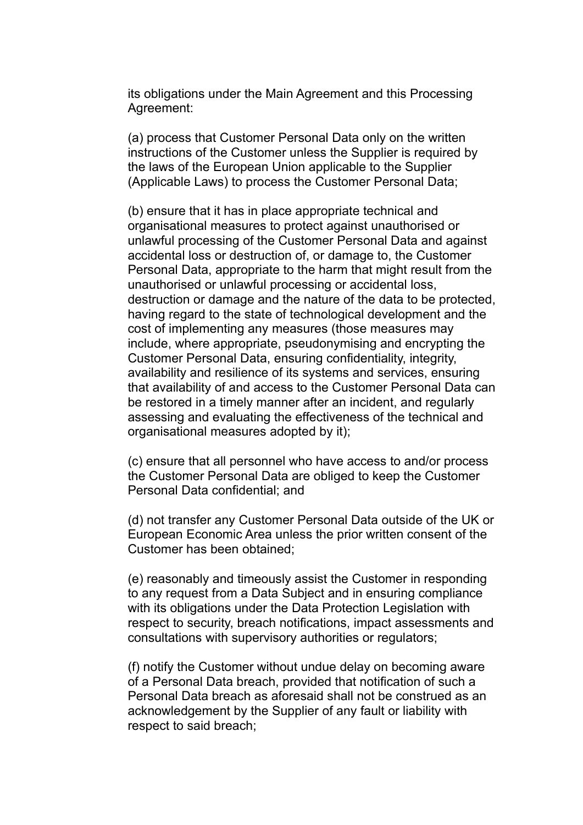its obligations under the Main Agreement and this Processing Agreement:

(a) process that Customer Personal Data only on the written instructions of the Customer unless the Supplier is required by the laws of the European Union applicable to the Supplier (Applicable Laws) to process the Customer Personal Data;

(b) ensure that it has in place appropriate technical and organisational measures to protect against unauthorised or unlawful processing of the Customer Personal Data and against accidental loss or destruction of, or damage to, the Customer Personal Data, appropriate to the harm that might result from the unauthorised or unlawful processing or accidental loss, destruction or damage and the nature of the data to be protected, having regard to the state of technological development and the cost of implementing any measures (those measures may include, where appropriate, pseudonymising and encrypting the Customer Personal Data, ensuring confidentiality, integrity, availability and resilience of its systems and services, ensuring that availability of and access to the Customer Personal Data can be restored in a timely manner after an incident, and regularly assessing and evaluating the effectiveness of the technical and organisational measures adopted by it);

(c) ensure that all personnel who have access to and/or process the Customer Personal Data are obliged to keep the Customer Personal Data confidential; and

(d) not transfer any Customer Personal Data outside of the UK or European Economic Area unless the prior written consent of the Customer has been obtained;

(e) reasonably and timeously assist the Customer in responding to any request from a Data Subject and in ensuring compliance with its obligations under the Data Protection Legislation with respect to security, breach notifications, impact assessments and consultations with supervisory authorities or regulators;

(f) notify the Customer without undue delay on becoming aware of a Personal Data breach, provided that notification of such a Personal Data breach as aforesaid shall not be construed as an acknowledgement by the Supplier of any fault or liability with respect to said breach;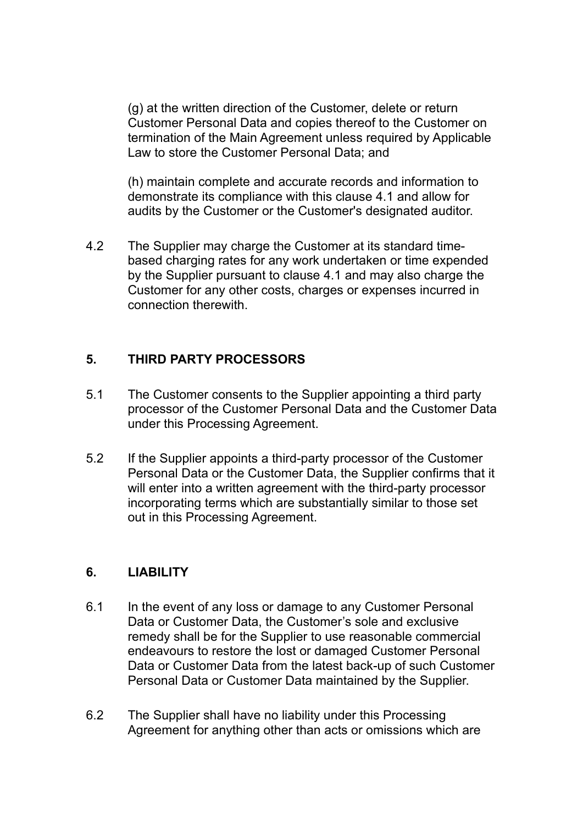(g) at the written direction of the Customer, delete or return Customer Personal Data and copies thereof to the Customer on termination of the Main Agreement unless required by Applicable Law to store the Customer Personal Data; and

(h) maintain complete and accurate records and information to demonstrate its compliance with this clause 4.1 and allow for audits by the Customer or the Customer's designated auditor.

4.2 The Supplier may charge the Customer at its standard timebased charging rates for any work undertaken or time expended by the Supplier pursuant to clause 4.1 and may also charge the Customer for any other costs, charges or expenses incurred in connection therewith.

## **5. THIRD PARTY PROCESSORS**

- 5.1 The Customer consents to the Supplier appointing a third party processor of the Customer Personal Data and the Customer Data under this Processing Agreement.
- 5.2 If the Supplier appoints a third-party processor of the Customer Personal Data or the Customer Data, the Supplier confirms that it will enter into a written agreement with the third-party processor incorporating terms which are substantially similar to those set out in this Processing Agreement.

# **6. LIABILITY**

- 6.1 In the event of any loss or damage to any Customer Personal Data or Customer Data, the Customer's sole and exclusive remedy shall be for the Supplier to use reasonable commercial endeavours to restore the lost or damaged Customer Personal Data or Customer Data from the latest back-up of such Customer Personal Data or Customer Data maintained by the Supplier.
- 6.2 The Supplier shall have no liability under this Processing Agreement for anything other than acts or omissions which are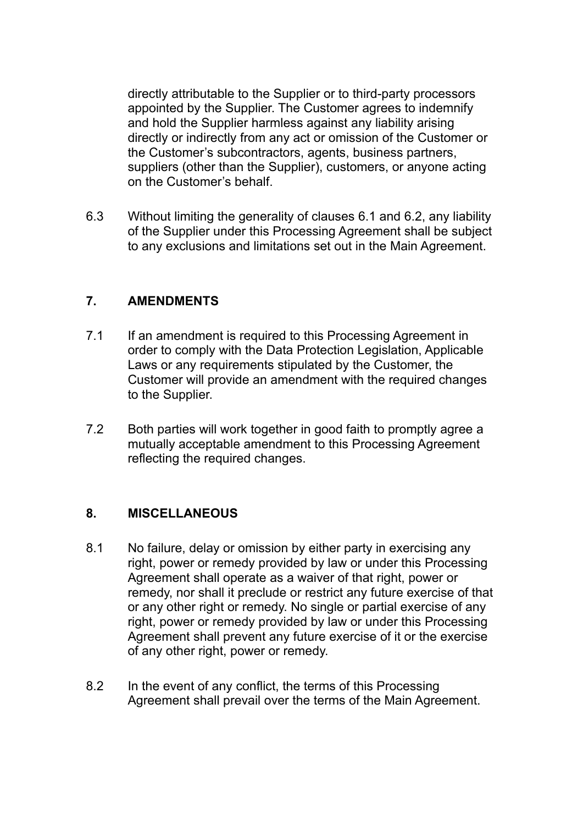directly attributable to the Supplier or to third-party processors appointed by the Supplier. The Customer agrees to indemnify and hold the Supplier harmless against any liability arising directly or indirectly from any act or omission of the Customer or the Customer's subcontractors, agents, business partners, suppliers (other than the Supplier), customers, or anyone acting on the Customer's behalf.

6.3 Without limiting the generality of clauses 6.1 and 6.2, any liability of the Supplier under this Processing Agreement shall be subject to any exclusions and limitations set out in the Main Agreement.

## **7. AMENDMENTS**

- 7.1 If an amendment is required to this Processing Agreement in order to comply with the Data Protection Legislation, Applicable Laws or any requirements stipulated by the Customer, the Customer will provide an amendment with the required changes to the Supplier.
- 7.2 Both parties will work together in good faith to promptly agree a mutually acceptable amendment to this Processing Agreement reflecting the required changes.

## **8. MISCELLANEOUS**

- 8.1 No failure, delay or omission by either party in exercising any right, power or remedy provided by law or under this Processing Agreement shall operate as a waiver of that right, power or remedy, nor shall it preclude or restrict any future exercise of that or any other right or remedy. No single or partial exercise of any right, power or remedy provided by law or under this Processing Agreement shall prevent any future exercise of it or the exercise of any other right, power or remedy.
- 8.2 In the event of any conflict, the terms of this Processing Agreement shall prevail over the terms of the Main Agreement.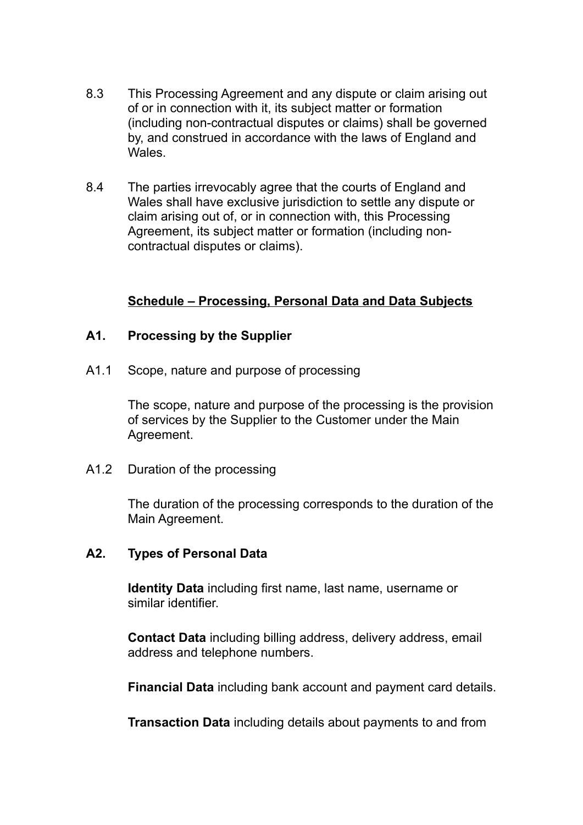- 8.3 This Processing Agreement and any dispute or claim arising out of or in connection with it, its subject matter or formation (including non-contractual disputes or claims) shall be governed by, and construed in accordance with the laws of England and Wales.
- 8.4 The parties irrevocably agree that the courts of England and Wales shall have exclusive jurisdiction to settle any dispute or claim arising out of, or in connection with, this Processing Agreement, its subject matter or formation (including noncontractual disputes or claims).

## **Schedule – Processing, Personal Data and Data Subjects**

#### **A1. Processing by the Supplier**

A1.1 Scope, nature and purpose of processing

The scope, nature and purpose of the processing is the provision of services by the Supplier to the Customer under the Main Agreement.

A1.2 Duration of the processing

The duration of the processing corresponds to the duration of the Main Agreement.

#### **A2. Types of Personal Data**

**Identity Data** including first name, last name, username or similar identifier.

**Contact Data** including billing address, delivery address, email address and telephone numbers.

**Financial Data** including bank account and payment card details.

**Transaction Data** including details about payments to and from